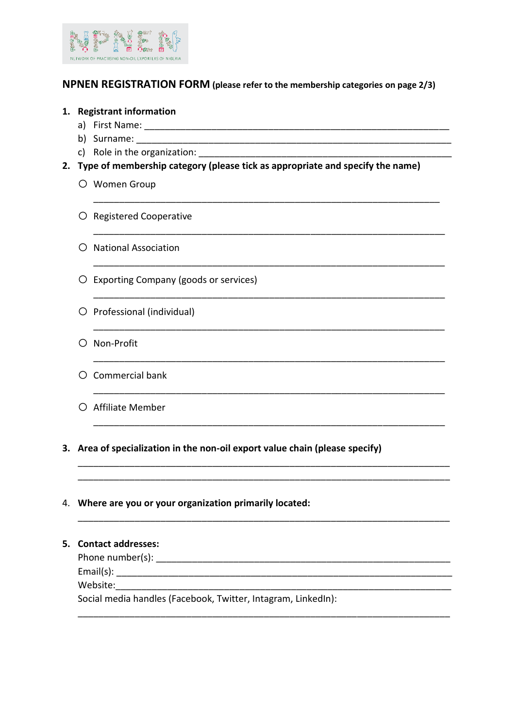

# **NPNEN REGISTRATION FORM (please refer to the membership categories on page 2/3)**

# **1. Registrant information**

- a) First Name:
- b) Surname:  $\Box$
- c) Role in the organization: \_\_\_\_\_\_\_\_\_\_\_\_\_\_\_\_\_\_\_\_\_\_\_\_\_\_\_\_\_\_\_\_\_\_\_\_\_\_\_\_\_\_\_\_\_\_\_\_\_
- **2. Type of membership category (please tick as appropriate and specify the name)**

\_\_\_\_\_\_\_\_\_\_\_\_\_\_\_\_\_\_\_\_\_\_\_\_\_\_\_\_\_\_\_\_\_\_\_\_\_\_\_\_\_\_\_\_\_\_\_\_\_\_\_\_\_\_\_\_\_\_\_\_\_\_\_\_\_\_\_

\_\_\_\_\_\_\_\_\_\_\_\_\_\_\_\_\_\_\_\_\_\_\_\_\_\_\_\_\_\_\_\_\_\_\_\_\_\_\_\_\_\_\_\_\_\_\_\_\_\_\_\_\_\_\_\_\_\_\_\_\_\_\_\_\_\_\_\_

\_\_\_\_\_\_\_\_\_\_\_\_\_\_\_\_\_\_\_\_\_\_\_\_\_\_\_\_\_\_\_\_\_\_\_\_\_\_\_\_\_\_\_\_\_\_\_\_\_\_\_\_\_\_\_\_\_\_\_\_\_\_\_\_\_\_\_\_

\_\_\_\_\_\_\_\_\_\_\_\_\_\_\_\_\_\_\_\_\_\_\_\_\_\_\_\_\_\_\_\_\_\_\_\_\_\_\_\_\_\_\_\_\_\_\_\_\_\_\_\_\_\_\_\_\_\_\_\_\_\_\_\_\_\_\_\_

\_\_\_\_\_\_\_\_\_\_\_\_\_\_\_\_\_\_\_\_\_\_\_\_\_\_\_\_\_\_\_\_\_\_\_\_\_\_\_\_\_\_\_\_\_\_\_\_\_\_\_\_\_\_\_\_\_\_\_\_\_\_\_\_\_\_\_\_

\_\_\_\_\_\_\_\_\_\_\_\_\_\_\_\_\_\_\_\_\_\_\_\_\_\_\_\_\_\_\_\_\_\_\_\_\_\_\_\_\_\_\_\_\_\_\_\_\_\_\_\_\_\_\_\_\_\_\_\_\_\_\_\_\_\_\_\_

\_\_\_\_\_\_\_\_\_\_\_\_\_\_\_\_\_\_\_\_\_\_\_\_\_\_\_\_\_\_\_\_\_\_\_\_\_\_\_\_\_\_\_\_\_\_\_\_\_\_\_\_\_\_\_\_\_\_\_\_\_\_\_\_\_\_\_\_

\_\_\_\_\_\_\_\_\_\_\_\_\_\_\_\_\_\_\_\_\_\_\_\_\_\_\_\_\_\_\_\_\_\_\_\_\_\_\_\_\_\_\_\_\_\_\_\_\_\_\_\_\_\_\_\_\_\_\_\_\_\_\_\_\_\_\_\_\_\_\_\_ \_\_\_\_\_\_\_\_\_\_\_\_\_\_\_\_\_\_\_\_\_\_\_\_\_\_\_\_\_\_\_\_\_\_\_\_\_\_\_\_\_\_\_\_\_\_\_\_\_\_\_\_\_\_\_\_\_\_\_\_\_\_\_\_\_\_\_\_\_\_\_\_

\_\_\_\_\_\_\_\_\_\_\_\_\_\_\_\_\_\_\_\_\_\_\_\_\_\_\_\_\_\_\_\_\_\_\_\_\_\_\_\_\_\_\_\_\_\_\_\_\_\_\_\_\_\_\_\_\_\_\_\_\_\_\_\_\_\_\_\_\_\_\_\_

- O Women Group
- O Registered Cooperative
- o National Association
- o Exporting Company (goods or services)
- o Professional (individual)
- o Non-Profit
- o Commercial bank
- o Affiliate Member
- **3. Area of specialization in the non-oil export value chain (please specify)**
- 4. **Where are you or your organization primarily located:**

**5. Contact addresses:** Phone number(s): \_\_\_\_\_\_\_\_\_\_\_\_\_\_\_\_\_\_\_\_\_\_\_\_\_\_\_\_\_\_\_\_\_\_\_\_\_\_\_\_\_\_\_\_\_\_\_\_\_\_\_\_\_\_\_\_\_ Email(s): Website: Social media handles (Facebook, Twitter, Intagram, LinkedIn):

\_\_\_\_\_\_\_\_\_\_\_\_\_\_\_\_\_\_\_\_\_\_\_\_\_\_\_\_\_\_\_\_\_\_\_\_\_\_\_\_\_\_\_\_\_\_\_\_\_\_\_\_\_\_\_\_\_\_\_\_\_\_\_\_\_\_\_\_\_\_\_\_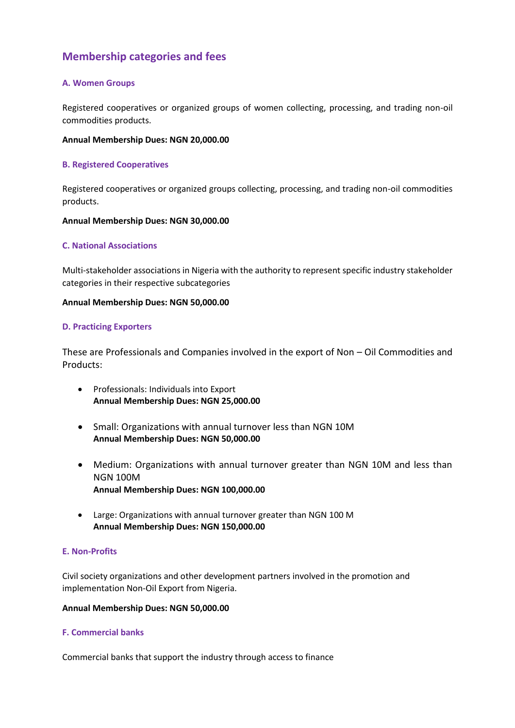# **Membership categories and fees**

# **A. Women Groups**

Registered cooperatives or organized groups of women collecting, processing, and trading non-oil commodities products.

# **Annual Membership Dues: NGN 20,000.00**

### **B. Registered Cooperatives**

Registered cooperatives or organized groups collecting, processing, and trading non-oil commodities products.

#### **Annual Membership Dues: NGN 30,000.00**

# **C. National Associations**

Multi-stakeholder associations in Nigeria with the authority to represent specific industry stakeholder categories in their respective subcategories

#### **Annual Membership Dues: NGN 50,000.00**

#### **D. Practicing Exporters**

These are Professionals and Companies involved in the export of Non – Oil Commodities and Products:

- Professionals: Individuals into Export **Annual Membership Dues: NGN 25,000.00**
- Small: Organizations with annual turnover less than NGN 10M **Annual Membership Dues: NGN 50,000.00**
- Medium: Organizations with annual turnover greater than NGN 10M and less than NGN 100M **Annual Membership Dues: NGN 100,000.00**
- Large: Organizations with annual turnover greater than NGN 100 M **Annual Membership Dues: NGN 150,000.00**

# **E. Non-Profits**

Civil society organizations and other development partners involved in the promotion and implementation Non-Oil Export from Nigeria.

#### **Annual Membership Dues: NGN 50,000.00**

# **F. Commercial banks**

Commercial banks that support the industry through access to finance